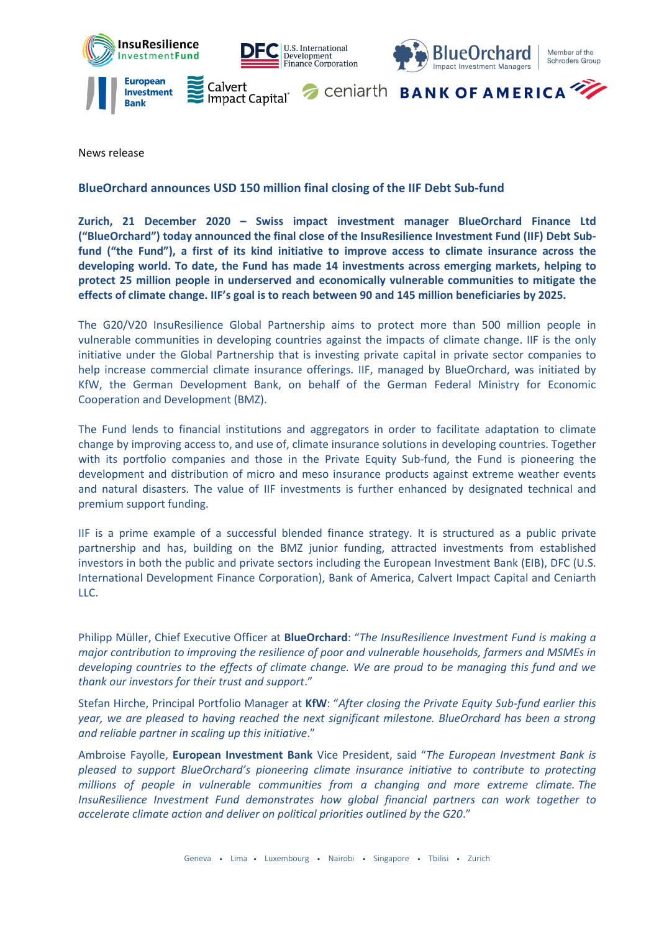

News release

## **BlueOrchard announces USD 150 million final closing of the IIF Debt Sub-fund**

**Zurich, 21 December 2020 – Swiss impact investment manager BlueOrchard Finance Ltd ("BlueOrchard") today announced the final close of the InsuResilience Investment Fund (IIF) Debt Subfund ("the Fund"), a first of its kind initiative to improve access to climate insurance across the developing world. To date, the Fund has made 14 investments across emerging markets, helping to protect 25 million people in underserved and economically vulnerable communities to mitigate the effects of climate change. IIF's goal is to reach between 90 and 145 million beneficiaries by 2025.**

The G20/V20 InsuResilience Global Partnership aims to protect more than 500 million people in vulnerable communities in developing countries against the impacts of climate change. IIF is the only initiative under the Global Partnership that is investing private capital in private sector companies to help increase commercial climate insurance offerings. IIF, managed by BlueOrchard, was initiated by KfW, the German Development Bank, on behalf of the German Federal Ministry for Economic Cooperation and Development (BMZ).

The Fund lends to financial institutions and aggregators in order to facilitate adaptation to climate change by improving access to, and use of, climate insurance solutions in developing countries. Together with its portfolio companies and those in the Private Equity Sub-fund, the Fund is pioneering the development and distribution of micro and meso insurance products against extreme weather events and natural disasters. The value of IIF investments is further enhanced by designated technical and premium support funding.

IIF is a prime example of a successful blended finance strategy. It is structured as a public private partnership and has, building on the BMZ junior funding, attracted investments from established investors in both the public and private sectors including the European Investment Bank (EIB), DFC (U.S. International Development Finance Corporation), Bank of America, Calvert Impact Capital and Ceniarth LLC.

Philipp Müller, Chief Executive Officer at **BlueOrchard**: "*The InsuResilience Investment Fund is making a major contribution to improving the resilience of poor and vulnerable households, farmers and MSMEs in developing countries to the effects of climate change. We are proud to be managing this fund and we thank our investors for their trust and support*."

Stefan Hirche, Principal Portfolio Manager at **KfW**: "*After closing the Private Equity Sub-fund earlier this year, we are pleased to having reached the next significant milestone. BlueOrchard has been a strong and reliable partner in scaling up this initiative*."

Ambroise Fayolle, **European Investment Bank** Vice President, said "*The European Investment Bank is pleased to support BlueOrchard's pioneering climate insurance initiative to contribute to protecting millions of people in vulnerable communities from a changing and more extreme climate. The InsuResilience Investment Fund demonstrates how global financial partners can work together to accelerate climate action and deliver on political priorities outlined by the G20*."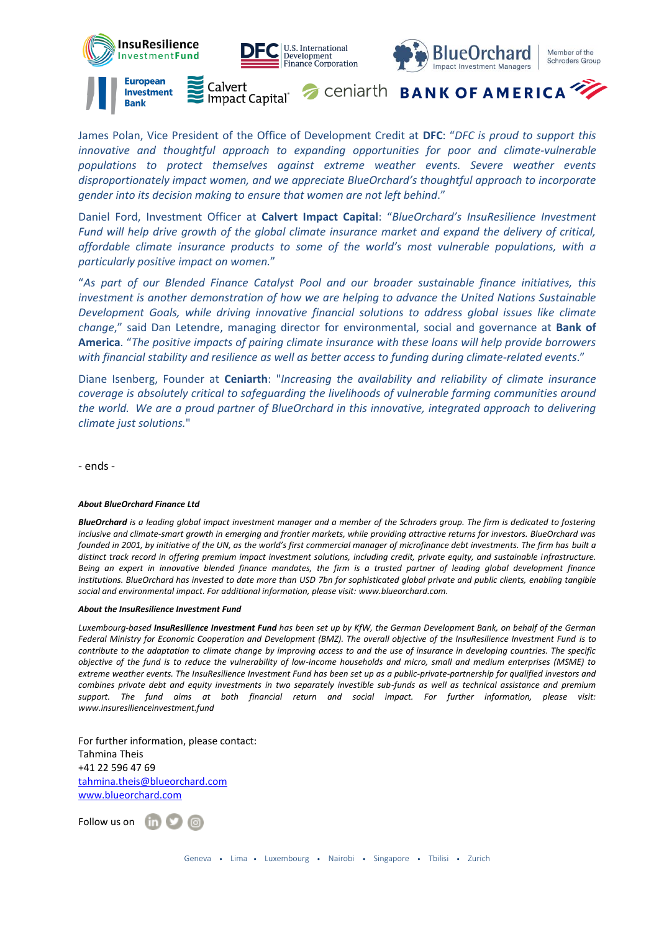

James Polan, Vice President of the Office of Development Credit at **DFC**: "*DFC is proud to support this innovative and thoughtful approach to expanding opportunities for poor and climate-vulnerable populations to protect themselves against extreme weather events. Severe weather events disproportionately impact women, and we appreciate BlueOrchard's thoughtful approach to incorporate gender into its decision making to ensure that women are not left behind*."

Daniel Ford, Investment Officer at **Calvert Impact Capital**: "*BlueOrchard's InsuResilience Investment Fund will help drive growth of the global climate insurance market and expand the delivery of critical, affordable climate insurance products to some of the world's most vulnerable populations, with a particularly positive impact on women.*"

"*As part of our Blended Finance Catalyst Pool and our broader sustainable finance initiatives, this investment is another demonstration of how we are helping to advance the United Nations Sustainable Development Goals, while driving innovative financial solutions to address global issues like climate change*," said Dan Letendre, managing director for environmental, social and governance at **Bank of America**. "*The positive impacts of pairing climate insurance with these loans will help provide borrowers with financial stability and resilience as well as better access to funding during climate-related events*."

Diane Isenberg, Founder at **Ceniarth**: "*Increasing the availability and reliability of climate insurance coverage is absolutely critical to safeguarding the livelihoods of vulnerable farming communities around the world. We are a proud partner of BlueOrchard in this innovative, integrated approach to delivering climate just solutions.*"

- ends -

## *About BlueOrchard Finance Ltd*

*BlueOrchard is a leading global impact investment manager and a member of the Schroders group. The firm is dedicated to fostering inclusive and climate-smart growth in emerging and frontier markets, while providing attractive returns for investors. BlueOrchard was founded in 2001, by initiative of the UN, as the world's first commercial manager of microfinance debt investments. The firm has built a distinct track record in offering premium impact investment solutions, including credit, private equity, and sustainable infrastructure. Being an expert in innovative blended finance mandates, the firm is a trusted partner of leading global development finance institutions. BlueOrchard has invested to date more than USD 7bn for sophisticated global private and public clients, enabling tangible social and environmental impact. For additional information, please visit: [www.blueorchard.com.](http://www.blueorchard.com/)*

## *About the InsuResilience Investment Fund*

*Luxembourg-based InsuResilience Investment Fund has been set up by KfW, the German Development Bank, on behalf of the German Federal Ministry for Economic Cooperation and Development (BMZ). The overall objective of the InsuResilience Investment Fund is to contribute to the adaptation to climate change by improving access to and the use of insurance in developing countries. The specific objective of the fund is to reduce the vulnerability of low-income households and micro, small and medium enterprises (MSME) to extreme weather events. The InsuResilience Investment Fund has been set up as a public-private-partnership for qualified investors and combines private debt and equity investments in two separately investible sub-funds as well as technical assistance and premium support. The fund aims at both financial return and social impact. For further information, please visit: [www.insuresilienceinvestment.fund](http://www.insuresilienceinvestment.fund/)*

For further information, please contact: Tahmina Theis +41 22 596 47 69 [tahmina.theis@blueorchard.com](mailto:kathryn.sutton@blueorchard.com) [www.blueorchard.com](http://www.blueorchard.com/)